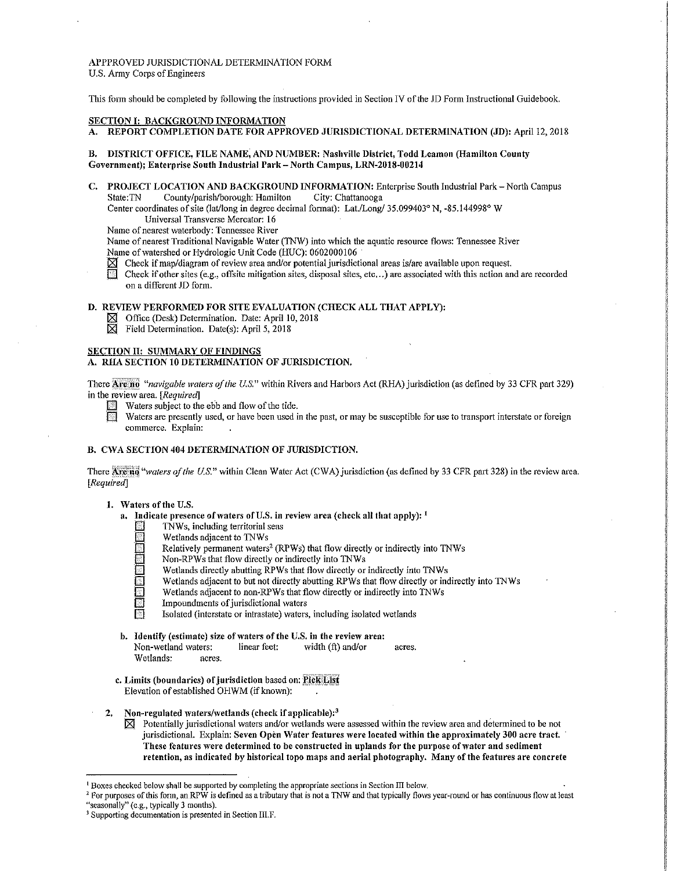APPPROVED JURISDICTIONAL DETERMINATION FORM U.S. Army Corps of Engineers

This fonn should be completed by following the instructions provided in Section IV of the JD Form Instructional Guidebook.

### SECTION I: BACKGROUND INFORMATION

A. REPORT COMPLETION DATE FOR APPROVED JURISDICTIONAL DETERMINATION (JD): April 12, 2018

- B. DISTRICT OFFICE, FILE NAME, AND NUMBER: Nashville District, Todd Leamon (Hamilton County Government); Enterprise South Industrial Park-North Campus, LRN-2018-00214
- C. PROJECT LOCATION AND BACKGROUND INFORMATION: Enterprise South Industrial Park North Campus State:TN County/parish/borough: Hamilton City: Chattanooga

Center coordinates of site (lat/long in degree decimal fonnat): Lat./Long/ 35.099403° N, -85.144998° W Universal Transverse Mercator: 16

Name of nearest waterbody: Tennessee River

Name of nearest Traditional Navigable Water (TNW) into which the aquatic resource flows: Tennessee River Name of watershed or Hydrologic Unit Code (HUC): 0602000106

- $\boxtimes$  Check if map/diagram of review area and/or potential jurisdictional areas is/are available upon request.
- Check if other sites (e.g., offsite mitigation sites, disposal sites, etc...) are associated with this action and are recorded on a different JD form.

# D. REVIEW PERFORMED FOR SITE EVALUATION (CHECK ALL THAT APPLY):

- l8J Office (Desk) Determination. Date: April 10, 2018
- $\boxtimes$  Field Determination. Date(s): April 5, 2018

### SECTION II: SUMMARY OF FINDINGS

#### A. RHA SECTION 10 DETERMINATION OF JURISDICTION.

There **Are no** "navigable waters of the U.S." within Rivers and Harbors Act (RHA) jurisdiction (as defined by 33 CFR part 329) in the review area. [Required]

- Waters subject to the ebb and flow of the tide.<br>
Waters are presently used, or have been used is
	- Waters are presently used, or have been used in the past, or may be susceptible for use to transport interstate or foreign commerce. Explain:

### B. CWA SECTION 404 DETERMINATION OF JURISDICTION.

There Are no "waters of the U.S." within Clean Water Act (CWA) jurisdiction (as defined by 33 CFR part 328) in the review area. *[Required]* 

#### 1. Waters of the U.S.

- a. Indicate presence of waters of U.S. in review area (check all that apply):  $<sup>1</sup>$ </sup>
	- TNWs, including territorial seas
	-
	- Relatively permanent waters<sup>2</sup> (RPWs) that flow directly or indirectly into TNWs
	- Non-RPWs that flow directly or indirectly into TNWs
	- Wetlands directly abutting RPWs that flow directly or indirectly into TNWs
	- Wetlands adjacent to but not directly abutting RPWs that flow directly or indirectly into TNWs
	- Wetlands adjacent to non-RPWs that flow directly or indirectly into TNWs
	- Wetlands adjacent to TNWs<br>
	Relatively permanent waters<br>
	Non-RPWs that flow directly<br>
	Wetlands directly abutting R<br>
	Wetlands adjacent to but not<br>
	Wetlands adjacent to non-RE<br>
	Impoundments of jurisdiction Impoundments of jurisdictional waters
		- Isolated (interstate or intrastate) waters, including isolated wetlands
- b. Identify (estimate) size of waters of the U.S. in the review area: Non-wetland waters: linear feet: width (ft) and/or acres. Wetlands: acres.
- c. Limits (boundaries) of jurisdiction based on: Pick List Elevation of established OHWM (if known):
- 2. Non-regulated waters/wetlands (check if applicable): $<sup>3</sup>$ </sup>
	- $\boxtimes$  Potentially jurisdictional waters and/or wetlands were assessed within the review area and determined to be not jurisdictional. Explain: Seven Open Water features were located within the approximately 300 acre tract. These features were determined to be constructed in uplands for the purpose of water and sediment retention, as indicated by historical topo maps and aerial photography. Many of the features are concrete

<sup>&</sup>lt;sup>1</sup> Boxes checked below shall be supported by completing the appropriate sections in Section III below.<br><sup>2</sup> For purposes of this form, an RPW is defined as a tributary that is not a TNW and that typically flows year-round

<sup>&</sup>lt;sup>3</sup> Supporting documentation is presented in Section IILF.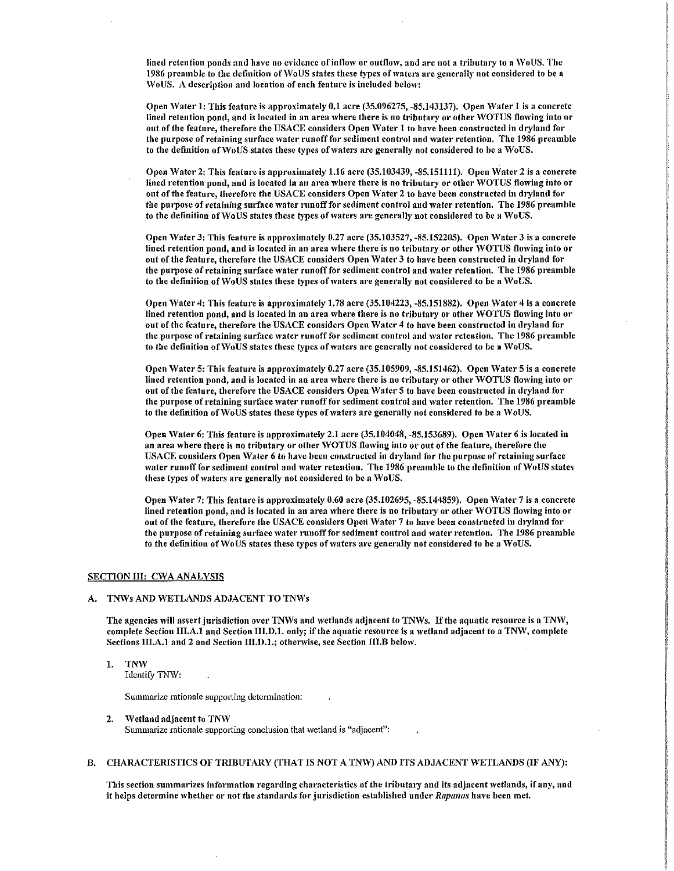lined retention ponds and have no evidence of inflow or outflow, and are not a tributary to a WoUS. The 1986 preamble to the definition of WoUS states these types of waters are generally not considered to be a \Vo US. A description and location of each feature is included belo\v:

Open Water 1: This feature is approximately 0.1 acre (35.096275, -85.143137). Open Water 1 is a concrete lined retention pond, and is located in an area where there is no tributary or other WOTUS flowing into or out of the feature, therefore the USACE considers Open Water 1 to have been constructed in dryland for the purpose of retaining surface water runoff for sediment control and water retention. The 1986 preamble to the definition of WoUS states these types of waters are generally not considered to be a WoUS.

Open Water 2: This feature is approximately 1.16 acre (35.103439, -85.151111). Open Water 2 is a concrete lined retention pond, and is located in an area where there is no tributary or other WOTUS flowing into or out of the feature, therefore the USACE considers Open Water 2 to have been constructed in dryland for the purpose of retaining surface water runoff for sediment control and water retention. The 1986 preamble to the definition of WoUS states these types of waters are generally not considered to be a WoUS.

Open Water 3: This feature is approximately 0.27 acre (35.103527, -85.152205). Open Water 3 is a concrete lined retention pond, and is located in an area where there is no tributary or other WOTUS flowing into or out of the feature, therefore the USACE considers Open Water 3 to have been constructed in dryland for the purpose of retaining surface water runoff for sediment control and water retention. The 1986 preamble to the definition of WoUS states these types of waters are generally not considered to be a WoUS.

Open Water 4: This feature is approximately 1.78 acre (35.104223, -85.151882). Open Water 4 is a concrete lined retention pond, and is located in an area where there is no tributary or other WOTUS flowing into or out of the feature, therefore the USACE considers Open Water 4 to have been constructed in dryland for the purpose of retaining surface water runoff for sediment control and water retention. The 1986 preamble to the definition of WoUS states these types of waters are generally not considered to be a WoUS.

Open Water 5: This feature is approximately 0.27 acre (35.105909, -85.151462). Open Water 5 is a concrete lined retention pond, and is located in an area where there is no tributary or other WOTUS flowing into or out of the feature, therefore the USACE considers Open Water 5 to have been constructed in dryland for the purpose of retaining surface water runoff for sediment control and water retention. The 1986 preamble to the definition of WoUS states these types of waters are generally not considered to be a WoUS.

Open Water 6: This feature is approximately 2.1 acre (35.104048, -85.153689). Open Water 6 is located in an area where there is no tributary or other WOTUS flowing into or out of the feature, therefore the USACE considers Open Water 6 to have been constructed in dryland for the purpose of retaining surface water runoff for sediment control and water retention. The 1986 preamble to the definition of WoUS states these types of waters are generally not considered to be a WoUS.

Open Water 7: This feature is approximately 0.60 acre (35.102695, -85.144859). Open Water 7 is a concrete lined retention pond, and is located in an area where there is no tributary or other WOTUS flowing into or out of the feature, therefore the USACE considers Open Water 7 to have been constructed in dryland for the purpose of retaining surface water runoff for sediment control and water retention. The 1986 preamble to the definition of WoUS states these types of waters are generally not considered to be a WoUS.

### SECTION III: CWA ANALYSIS

#### A. TNWs AND WETLANDS ADJACENT TO TNWs

The agencies will assert jurisdiction over TNWs and wetlands adjacent to TNWs. If the aquatic resource is a TNW, complete Section III.A.1 and Section III.D.1. only; if the aquatic resource is a wetland adjacent to a TNW, complete Sections III.A.1 and 2 and Section III.D.1.; otherwise, see Section III.B below.

1. TNW

Identify TNW:

Summarize rationale supporting determination:

2. Wetland adjacent to TNW Summarize rationale supporting conclusion that wetland is "adjacent":

### B. CHARACTERISTICS OF TRIBUTARY (THAT IS NOT A TNW) AND ITS ADJACENT WETLANDS (IF ANY):

This section summarizes information regarding characteristics of the tributary and its adjacent wetlands, if any, and it helps determine whether or not the standards for jurisdiction established under *Rapanos* have been met.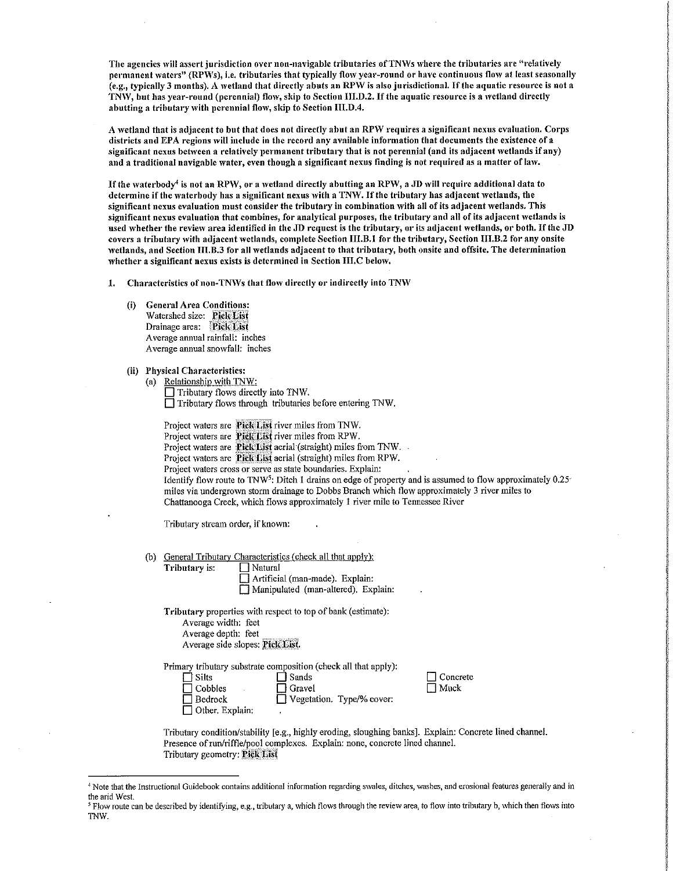The agencies will assert jurisdiction over non-navigable tributaries of TNWs where the tributaries are "relatively permanent waters" (RPWs), i.e. tributaries that typically flow year-round or have continuous flow at least seasonally (e.g., typically 3 months), A 'vetland that directly abuts an RPW is also jurisdictional. If the aquatic resource is not a TNW, but has year-round (perennial) flow, skip to Section III.D.2. If the aquatic resource is a wetland directly abutting a tributary with perennial flow, skip to Section III.D.4.

A wetland that is adiacent to but that does not directly abut an RPW requires a significant nexus evaluation, Corps districts and EPA regions will include in the record any available information that documents the existence of a significant nexus between a relatively permanent tributary that is not perennial (and its adjacent wetlands if any) and a traditional navigable water, even though a significant nexus finding is not required as a matter of law.

If the waterbody<sup>4</sup> is not an RPW, or a wetland directly abutting an RPW, a JD will require additional data to determine if the waterbody has a significant nexus with a TNW. If the tributary has adjacent wetlands, the significant nexus evaluation must consider the tributary in combination 'vith all of its adjacent wetlands. This significant nexus evaluation that combines, for analytical purposes, the tributary and all of its adjacent wetlands is used whether the review area identified in the JD request is the tributary, or its adjacent wetlands, or both. If the JD covers a tributary 'vith adjacent 'vetlands, complete Section 111.B.1 for the tributary, Section III.B.2 for any onsite wetlands, and Section III.B.3 for all wetlands adjacent to that tributary, both onsite and offsite. The determination lvhether a significant nexus exists is determined in Section III.C below.

1. Characteristics of non-TNWs that flow directly or indirectly into TNW

(i) General Area Conditions: Watershed size: Pick List Drainage area: Pick List Average annual rainfall: inches Average annual snowfall: inches

(ii) Physical Characteristics:

(a) Relationship with *TNVl:*  Tributary flows directly into TNW.  $\Box$  Tributary flows through tributaries before entering TNW.

Project waters are Pick List river miles from TNW. Project waters are **Pick List** river miles from RPW. Project waters are Pick List aerial (straight) miles from TNW. Project waters are **Pick List** aerial (straight) miles from RPW. Project waters cross or serve as state boundaries. Explain: Identify flow route to TNW<sup>5</sup>: Ditch 1 drains on edge of property and is assumed to flow approximately  $0.25$ miles via undergrown storm drainage to Dobbs Branch which flow approximately 3 river miles to Chattanooga Creek, which flows approximately 1 river mile to Tennessee River

Tributary stream order, if known:

(b) General Tributary Characteristics (check all that apply):

| Tributary is: | Natural                             |
|---------------|-------------------------------------|
|               | Artificial (man-made). Explain:     |
|               | Manipulated (man-altered). Explain: |

Tributary properties with respect to top of bank (estimate): Average width: feet Average depth: feet Average side slopes: Pick List.

Primary tributary substrate composition (check all that apply):  $\Box$  Sands

> $\Box$  Gravel Vegetation.

| l FSilts               |  |
|------------------------|--|
| l   Cobbles            |  |
| ∏ Bedrock              |  |
| $\Box$ Other. Explain: |  |

| Type/% cover: |  |
|---------------|--|

Concrete  $\Box$  Muck

Tributary condition/stability [e.g., highly eroding, sloughing banks]. Explain: Concrete lined channel. Presence of run/riffle/pool complexes. Explain: none, concrete lined channel. Tributary geometry: Pick List

<sup>4</sup> Note that the Instructional Guidebook contains additional infonnation regarding swales, ditches, washes, and erosional features generally and in the arid West.<br><sup>5</sup> Flow route can be described by identifying, e.g., tributary a, which flows through the review area, to flow into tributary b, which then flows into

TNW.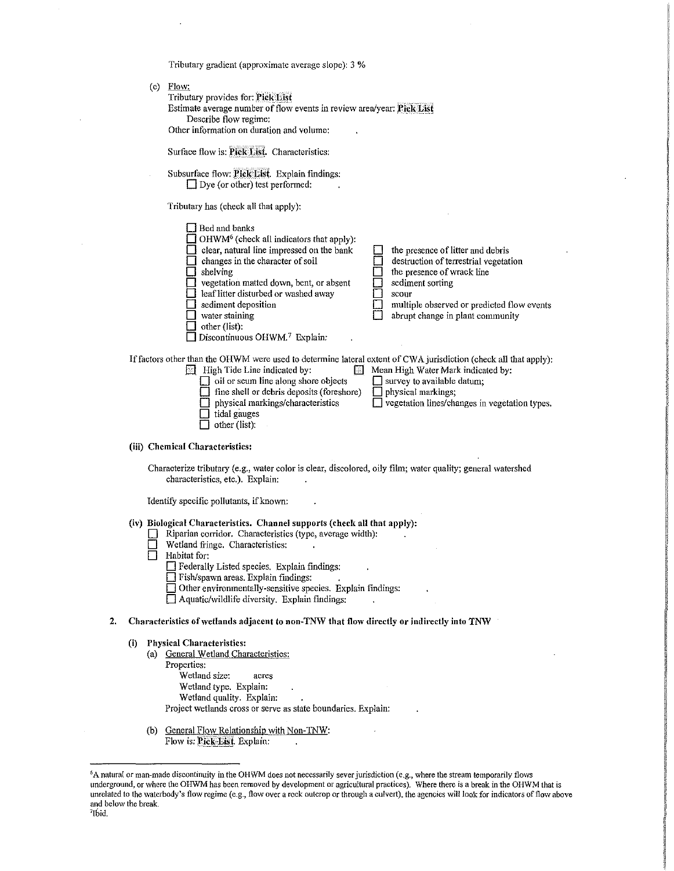(c) Flow: Tributary provides for: Pick List Estimate average number of flow events in review area/year: Pick List Describe flow regime: Other information on duration and volume: Surface flow is: Pick List. Characteristics: Subsurface flow: Pick List. Explain findings:  $\Box$  Dye (or other) test performed: Tributary has (check all that apply):  $\Box$  Bed and banks  $\Box$  OHWM<sup>6</sup> (check all indicators that apply): 0 clear, natural line impressed on the bank changes in the character of soil  $\Box$  shelving  $\Box$  vegetation matted down, bent, or absent  $\Box$  leaf litter disturbed or washed away  $\Box$  sediment deposition  $\Box$  water staining  $\Box$  other (list):  $\Box$  Discontinuous OHWM.<sup>7</sup> Explain:  $\Box$  the presence of litter and debris destruction of terrestrial vegetation the presence of wrack line  $\Box$  sediment sorting<br> $\Box$  scour scour multiple observed or predicted flow events<br>abrupt change in plant community abrupt change in plant community If factors other than the OHWM were used to determine lateral extent of CWA jurisdiction (check all that apply):<br>
High Tide Line indicated by:<br>
Mean High Water Mark indicated by: **E** Mean High Water Mark indicated by:<br>  $\Box$  survey to available datum;  $\Box$  oil or scum line along shore objects  $\Box$  survey to available fine shell or debris deposits (foreshore)  $\Box$  physical markings;  $\Box$  fine shell or debris deposits (foreshore) physical markings/characteristics  $\Box$  vegetation lines/changes in vegetation types.  $\Box$  tidal gauges  $\Box$  other (list): (iii) Chemical Characteristics: Characterize tributary (e.g., water color is clear, discolored, oily film; water quality; general watershed characteristics, etc.). Explain: Identify specific pollutants, if known: (iv) Biological Characteristics. Channel supports (check all that apply): Riparian corridor. Characteristics (type, average width):  $\Box$  Wetland fringe. Characteristics:<br> $\Box$  Habitat for: Habitat for:  $\Box$  Federally Listed species. Explain findings:  $\Box$  Fish/spawn areas. Explain findings:  $\Box$  Other environmentally-sensitive species. Explain findings:  $\Box$  Aquatic/wildlife diversity. Explain findings: 2. Characteristics of wetlands adjacent to non-TNW that flow directly or indirectly into TNW (i) Physical Characteristics: (a) General Wetland Characteristics: Properties: Wetland size: acres Wetland type. Explain: Wetland quality. Explain: Project wetlands cross or serve as state boundaries, Explain: (b) General Flow Relationship with Non-TNW: Flow is: Pick-List. Explain:

Tributary gradient (approximate average slope): 3 %

6 A natural or man-made discontinuity in the OHWM does not necessarily sever jurisdiction (e.g., where the stream temporarily flows underground, or where the OHWM has been removed by development or agricultural practices). Where there is a break in the OHWM that is unrelated to the waterbody's flow regime (e.g., flow over a rock outcrop or through a culvert), the agencies will look for indicators of flow above

and below the break.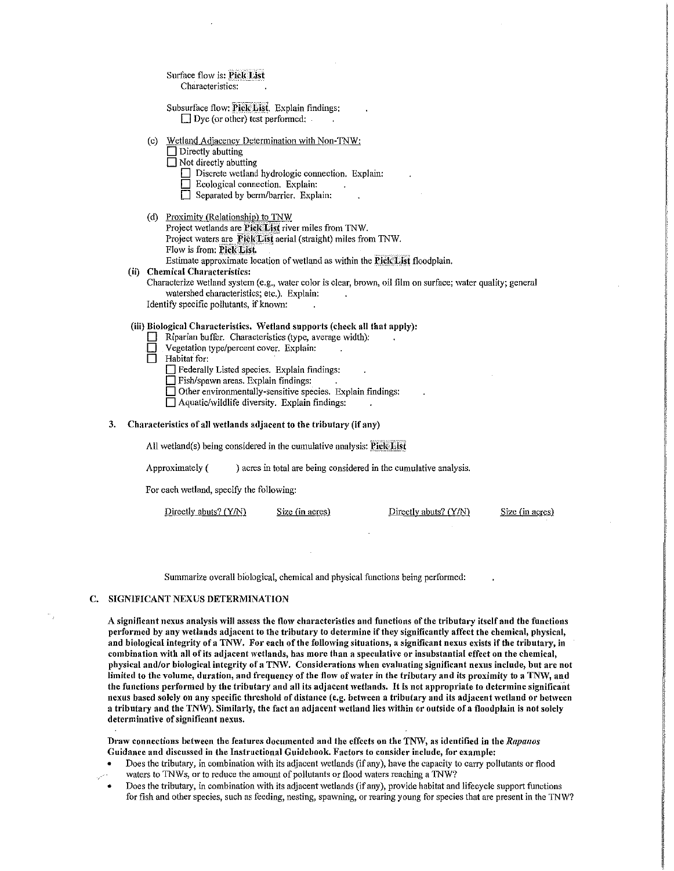| Surface flow is: Pick List |  |   |
|----------------------------|--|---|
| Characteristics:           |  | ۰ |

Subsurface flow: Pick List. Explain findings:  $\Box$  Dye (or other) test performed:

- (c) Wetland Adjacency Determination with Non-TNW:
	- $\Box$  Directly abutting
	- $\Box$  Not directly abutting
		- $\Box$  Discrete wetland hydrologic connection. Explain:
		- Ecological connection. Explain:
		- Separated by berm/barrier. Explain:
- (d) Proximity (Relationship) to TNW
	- Project wetlands are Pick List river miles from TNW. Project waters are Pick List aerial (straight) miles from TNW. Flow is from: Pick List.

Estimate approximate location of wetland as within the **Pick List** floodplain.

### (ii) Chemical Characteristics:

Characterize wetland system (e.g., water color is clear, brown, oil film on surface; water quality; general watershed characteristics; etc.). Explain:

Identify specific pollutants, if known:

## (iii) Biological Characteristics. \Vetland supports (check all that apply):

- Riparian buffer. Characteristics (type, average width):<br> **D** Vegetation type/percent cover. Explain:
- Vegetation type/percent cover. Explain:
- $\Box$  Habitat for:

D Federally Listed species. Explain findings:

 $\Box$  Fish/spawn areas. Explain findings:

 $\Box$  Other environmentally-sensitive species. Explain findings:

 $\Box$  Aquatic/wildlife diversity. Explain findings:

### 3. Characteristics of all wetlands adjacent to the tributary (if any)

All wetland(s) being considered in the cumulative analysis:  ${\bf PickList}$ 

Approximately ( ) acres in total are being considered in the cumulative analysis.

For each wetland, specify the following:

Directly abuts? (Y/N) Size (in acres) Directly abuts? (Y/N) Size (in acres)

Summarize overall biological, chemical and physical functions being performed:

## C. SIGNIFICANT NEXUS DETERMINATION

A significant nexus analysis will assess the flow characteristics and functions of the tributary itself and the functions performed by any wetlands adjacent to the tributary to determine if they significantly affect the chemical, physical, and biological integrity of a TNW. For each of the following situations, a significant nexus exists if the tributary, in combination with all of its adjacent wetlands, has more than a speculative or insubstantial effect on the chemical, physical and/or biological integrity of a TNW. Considerations when evaluating significant nexus include, but arc not limited to the volume, duration, and frequency of the flow of water in the tributary and its proximity to a TNW, and the functions performed by the tributary and all its adjacent wetlands. It is not appropriate to determine significant nexus based solely on any specific threshold of distance (e.g. between a tributary and its adjacent wetland or between a tributary and the TNW). Similarly, the fact an adjacent wetland lies within or outside of a floodplain is not solely determinative of significant nexus.

Draw connections between the features documented and the effects on the TNW, as identified in the *Rapanos* Guidance and discussed in the Instructional Guidebook. Factors to consider include, for example:

- Does the tributary, in combination with its adjacent wetlands (if any), have the capacity to carry pollutants or flood waters to TNWs, or to reduce the amount of pollutants or flood waters reaching a TNW?
- Does the tributary, in combination \vith its adjacent wetlands (if any), provide habitat and lifecycle support functions for fish and other species, such as feeding, nesting, spawning, or rearing young for species that are present in the TNW?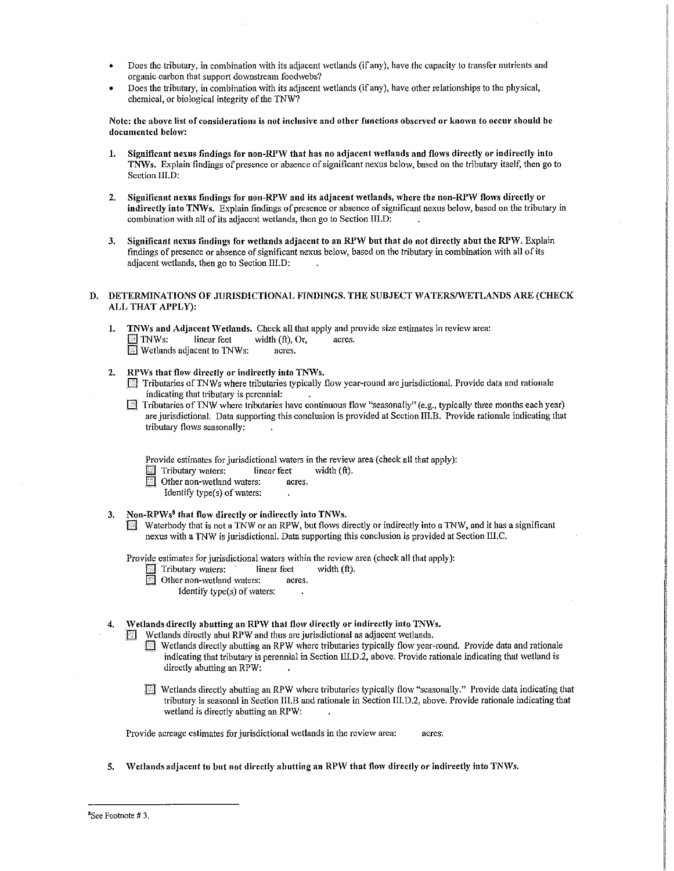- Does the tributary, in combination with its adjacent wetlands (if any), have the capacity to transfer nutrients and organic carbon that support downstream foodwebs?
- Does the tributary, in combination with its adjacent wetlands (if any), have other relationships to the physical, chemical, or biological integrity of the TNW?

Note: the above list of considerations is not inclusive and other functions observed or known to occur should be documented below:

- 1. Significant nexus findings for non-RPW that has no adjacent wetlands and flows directly or indirectly into TNWs. Explain findings of presence or absence of significant nexus below, based on the tributary itself, then go to Section III.D:
- 2. Significant nexus findings for non-RPW and its adjacent wetlands, where the non-RPW flows directly or indirectly into TNWs. Explain findings of presence or absence of significant nexus below, based on the tributary in combination with all of its adjacent wetlands, then go to Section III.D:
- 3. Significant nexus findings for wetlands adjacent to an RPW but that do not directly abut the RPW. Explain findings of presence or absence of significant nexus below, based on the tributary in combination \Vith all of its adjacent wetlands, then go to Section III.D:

### D. DETERMINATIONS OF JURISDICTIONAL FINDINGS. THE SUBJECT WATERS/WETLANDS ARE (CHECK ALL THAT APPLY):

- 1. TNWs and Adjacent Wetlands. Check all that apply and provide size estimates in review area:<br> $\Box$  TNWs: linear feet width (ft). Or, acres. width (ft), Or, **El** Wetlands adjacent to TNWs: acres.
- 2. RPWs that flow directly or indirectly into TNWs.<br> $\Box$  Tributaries of TNWs where tributaries typically
	- Tributaries of TNWs where tributaries typically flow year-round are jurisdictional. Provide data and rationale ' indicating that tributary is perennial:
	- Tributaries of TNW where tributaries have continuous flow "seasonally" (e.g., typically three months each year) arc jurisdictional. Data supporting this conclusion is provided at SectionlII.B. Provide rationale indicating that tributary flows seasonally:

Provide estimates for jurisdictional waters in the review area (check all that apply):

- Tributary waters: linear feet width (ft).<br>
Other non-wetland waters: acres.
- Other non-wetland waters: acres.
	- Identify type(s) of waters:
- 3. Non-RPWs<sup>8</sup> that flow directly or indirectly into TNWs.
	- Waterbody that is not a TNW or an RPW, but flows directly or indirectly into a TNW, and it has a significant nexus with a TNW is jurisdictional. Data supporting this conclusion is provided at Section III.C.

Provide estimates for jurisdictional waters within the review area (check all that apply):<br>  $\Box$  Tributary waters: linear feet width (ft).

- Tributary waters: linear feet width (ft).<br>
Other non-wetland waters: acres.
- Other non-wetland waters:
	- Identify type $(s)$  of waters:
- Wetlands directly abutting an RPW that flow directly or indirectly into TNWs.

Wetlands directly abut RPW and thus are jurisdictional as adjacent wetlands.

- [] Wetlands directly abutting an RPW where tributaries typically flo\v year-round. Provide data and rationale indicating that tributary is perennial in Section III.D.2, above. Provide rationale indicating that wetland is directly abutting an RPW:
- **EU** Wetlands directly abutting an RPW where tributaries typically flow "seasonally." Provide data indicating that tributary is seasonal in Section III.B and rationale in Section III.D.2, above. Provide rationale indicating that wetland is directly abutting an RPW:

Provide acreage estimates for jurisdictional wetlands in the review area: acres.

5. Wetlands adjacent to but not directly abutting an RPW that flow directly or indirectly into TNWs.

<sup>&</sup>lt;sup>8</sup>See Footnote #3.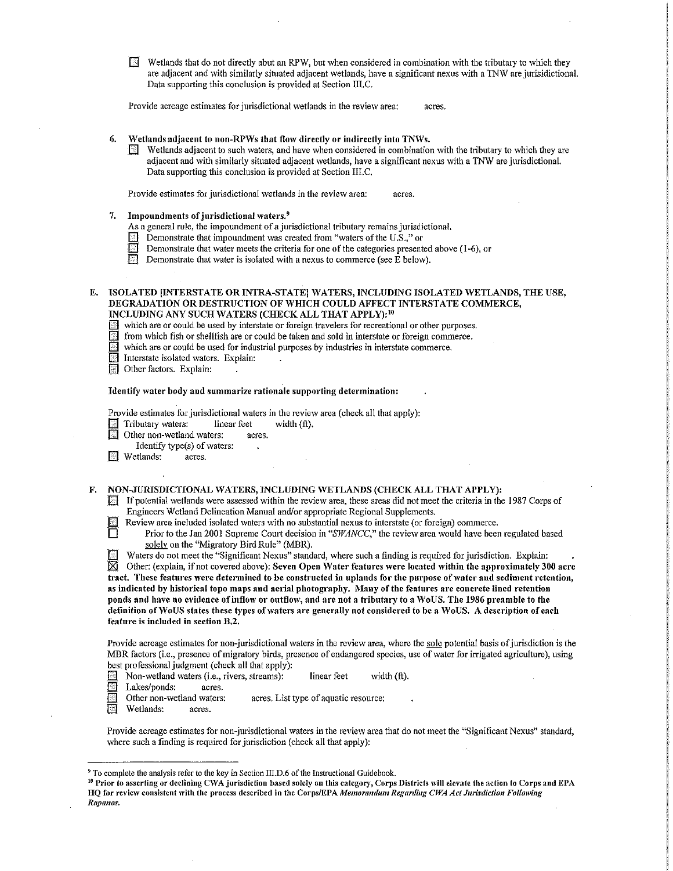$\Box$  Wetlands that do not directly abut an RPW, but when considered in combination with the tributary to which they are adjacent and with similarly situated adjacent wetlands, have a significant nexus with a TNW are jurisidictional. Data supporting this conclusion is provided at Section III.C.

Provide acreage estimates for jurisdictional wetlands in the review area: acres.

- 6. Wetlands adjacent to non-RPWs that flow directly or indirectly into TNWs.
	- $\mathbb{R}$  Wetlands adjacent to such waters, and have when considered in combination with the tributary to which they are adjacent and with similarly situated adjacent wetlands, have a significant nexus with a TNW are jurisdictional. Data supporting this conclusion is provided at Section III.C.

Provide estimates for jurisdictional wetlands in the review area: acres.

- 
- 7. Impoundments of jurisdictional waters.<sup>9</sup>  $\lambda$  As a general rule, the impoundment of a jurisdictional rule, the impoundment of a jurisdictional rule.
	- **Example 1** Demonstrate that impoundment was created from "waters of the U.S.," or Demonstrate that water meets the criteria for one of the categories precent
	- Demonstrate that water meets the criteria for one of the categories presented above (1-6), or  $\boxed{\phantom{0}}$  Demonstrate that water is isolated with a nexus to commerce (see E below).
	- Demonstrate that water is isolated with a nexus to commerce (see  $\overline{E}$  below).
- E. ISOLATED [INTERSTATE OR INTRA-STATE] WATERS, INCLUDING ISOLATED WETLANDS, THE USE, DEGRADATION OR DESTRUCTION OF WHICH COULD AFFECT INTERSTATE COMMERCE, INCLUDING ANY SUCH WATERS (CHECK ALL THAT APPLY): <sup>10</sup>
	- which are or could be used by interstate or foreign travelers for recreational or other purposes.
	- III from which fish or shellfish are or could be taken and sold in interstate or foreign commerce.
	- $\mathbb{E}$  which are or could be used for industrial purposes by industries in interstate commerce.
	- Interstate isolated waters. Explain:
	- **Due Other factors.** Explain:

#### Identify water body and summarize rationale supporting determination:

Provide estimates for jurisdictional waters in the review area (check all that apply):

- E Tributary waters: linear feet width (ft).<br>
Other non-wetland waters: acres.
	- Other non-wetland waters: acres.
	- Identify type(s) of waters:  $\ddot{\phantom{a}}$
- **EX** Wetlands: acres.

F. NON-JURISDICTIONAL WATERS, INCLUDING WETLANDS (CHECK ALL THAT APPLY):

- If potential wetlands were assessed within the review area, these areas did not meet the criteria in the 1987 Corps of Engineers Wetland Delineation Manual and/or appropriate Regional Supplements.
	-

Review area included isolated waters with no substantial nexus to interstate (or foreign) commerce.<br>Prior to the Jan 2001 Supreme Court decision in "SWANCC," the review area would have been Prior to the Jan 2001 Supreme Court decision in "SWANCC," the review area would have been regulated based solely on the "Migratory Bird Rule" (MBR).

**III** Waters do not meet the "Significant Nexus" standard, where such a finding is required for jurisdiction. Explain:  $\boxtimes$  Other: (explain, if not covered above): Seven Open Water features were located within the approximately 300 acre tract. These features were determined to be constructed in uplands for the purpose of water and sediment retention, as indicated by historical topo maps and aerial photography. Many of the features are concrete lined retention ponds and have no evidence of inflow or outflow, and are not a tributary to a WoUS. The 1986 preamble to the definition of WoUS states these types of waters are generally not considered to be a WoUS. A description of each feature is included in section B.2.

Provide acreage estimates for non-jurisdictional waters in the review area, where the sole potential basis of jurisdiction is the MBR factors (i.e., presence of migratory birds, presence of endangered species, use of water for irrigated agriculture), using best professional judgment (check all that apply):

- Non-wetland waters (i.e., rivers, streams): linear feet width (ft).
- 
- Lakes/ponds: acres.<br>Other non-wetland waters: acres. List type of aquatic resource:
- El Wetlands: acres.

Provide acreage estimates for non-jurisdictional waters in the review area that do not meet the "Significant Nexus" standard, where such a finding is required for jurisdiction (check all that apply):

<sup>10</sup> Prior to asserting or declining CWA jurisdiction based solely on this category, Corps Districts will elevate the action to Corps and EPA HQ for review consistent with the process described in the Corps/EPA Memorandum Regarding CWA Act Jurisdiction Following Rapanos.

<sup>&</sup>lt;sup>9</sup> To complete the analysis refer to the key in Section III.D.6 of the Instructional Guidebook.